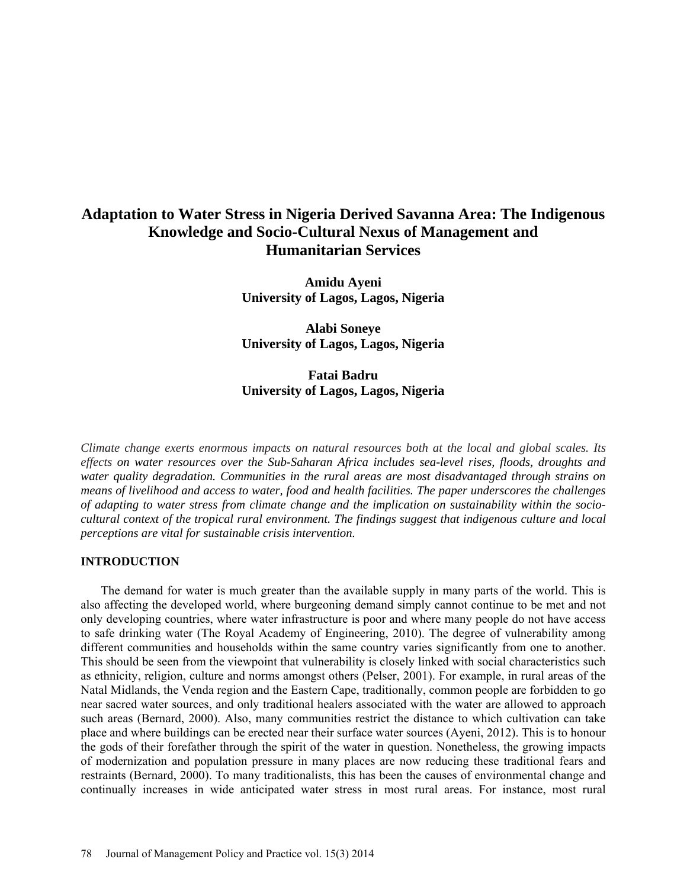# **Adaptation to Water Stress in Nigeria Derived Savanna Area: The Indigenous Knowledge and Socio-Cultural Nexus of Management and Humanitarian Services**

**Amidu Ayeni University of Lagos, Lagos, Nigeria** 

**Alabi Soneye University of Lagos, Lagos, Nigeria**

**Fatai Badru University of Lagos, Lagos, Nigeria** 

*Climate change exerts enormous impacts on natural resources both at the local and global scales. Its effects on water resources over the Sub-Saharan Africa includes sea-level rises, floods, droughts and water quality degradation. Communities in the rural areas are most disadvantaged through strains on means of livelihood and access to water, food and health facilities. The paper underscores the challenges of adapting to water stress from climate change and the implication on sustainability within the sociocultural context of the tropical rural environment. The findings suggest that indigenous culture and local perceptions are vital for sustainable crisis intervention.* 

# **INTRODUCTION**

The demand for water is much greater than the available supply in many parts of the world. This is also affecting the developed world, where burgeoning demand simply cannot continue to be met and not only developing countries, where water infrastructure is poor and where many people do not have access to safe drinking water (The Royal Academy of Engineering, 2010). The degree of vulnerability among different communities and households within the same country varies significantly from one to another. This should be seen from the viewpoint that vulnerability is closely linked with social characteristics such as ethnicity, religion, culture and norms amongst others (Pelser, 2001). For example, in rural areas of the Natal Midlands, the Venda region and the Eastern Cape, traditionally, common people are forbidden to go near sacred water sources, and only traditional healers associated with the water are allowed to approach such areas (Bernard, 2000). Also, many communities restrict the distance to which cultivation can take place and where buildings can be erected near their surface water sources (Ayeni, 2012). This is to honour the gods of their forefather through the spirit of the water in question. Nonetheless, the growing impacts of modernization and population pressure in many places are now reducing these traditional fears and restraints (Bernard, 2000). To many traditionalists, this has been the causes of environmental change and continually increases in wide anticipated water stress in most rural areas. For instance, most rural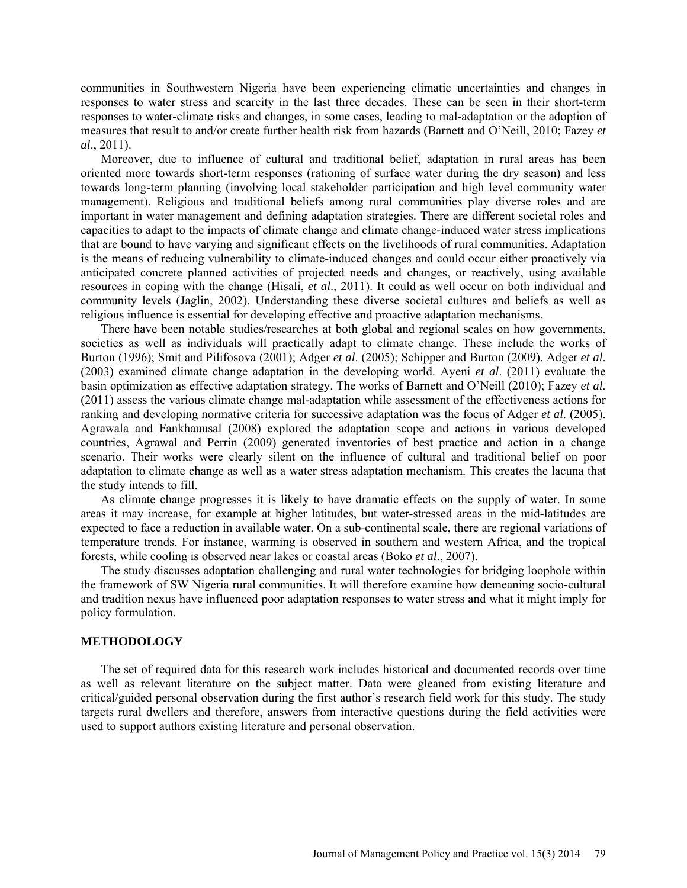communities in Southwestern Nigeria have been experiencing climatic uncertainties and changes in responses to water stress and scarcity in the last three decades. These can be seen in their short-term responses to water-climate risks and changes, in some cases, leading to mal-adaptation or the adoption of measures that result to and/or create further health risk from hazards (Barnett and O'Neill, 2010; Fazey *et al*., 2011).

Moreover, due to influence of cultural and traditional belief, adaptation in rural areas has been oriented more towards short-term responses (rationing of surface water during the dry season) and less towards long-term planning (involving local stakeholder participation and high level community water management). Religious and traditional beliefs among rural communities play diverse roles and are important in water management and defining adaptation strategies. There are different societal roles and capacities to adapt to the impacts of climate change and climate change-induced water stress implications that are bound to have varying and significant effects on the livelihoods of rural communities. Adaptation is the means of reducing vulnerability to climate-induced changes and could occur either proactively via anticipated concrete planned activities of projected needs and changes, or reactively, using available resources in coping with the change (Hisali, *et al*., 2011). It could as well occur on both individual and community levels (Jaglin, 2002). Understanding these diverse societal cultures and beliefs as well as religious influence is essential for developing effective and proactive adaptation mechanisms.

There have been notable studies/researches at both global and regional scales on how governments, societies as well as individuals will practically adapt to climate change. These include the works of Burton (1996); Smit and Pilifosova (2001); Adger *et al*. (2005); Schipper and Burton (2009). Adger *et al*. (2003) examined climate change adaptation in the developing world. Ayeni *et al*. (2011) evaluate the basin optimization as effective adaptation strategy. The works of Barnett and O'Neill (2010); Fazey *et al*. (2011) assess the various climate change mal-adaptation while assessment of the effectiveness actions for ranking and developing normative criteria for successive adaptation was the focus of Adger *et al*. (2005). Agrawala and Fankhauusal (2008) explored the adaptation scope and actions in various developed countries, Agrawal and Perrin (2009) generated inventories of best practice and action in a change scenario. Their works were clearly silent on the influence of cultural and traditional belief on poor adaptation to climate change as well as a water stress adaptation mechanism. This creates the lacuna that the study intends to fill.

As climate change progresses it is likely to have dramatic effects on the supply of water. In some areas it may increase, for example at higher latitudes, but water-stressed areas in the mid-latitudes are expected to face a reduction in available water. On a sub-continental scale, there are regional variations of temperature trends. For instance, warming is observed in southern and western Africa, and the tropical forests, while cooling is observed near lakes or coastal areas (Boko *et al*., 2007).

The study discusses adaptation challenging and rural water technologies for bridging loophole within the framework of SW Nigeria rural communities. It will therefore examine how demeaning socio-cultural and tradition nexus have influenced poor adaptation responses to water stress and what it might imply for policy formulation.

# **METHODOLOGY**

The set of required data for this research work includes historical and documented records over time as well as relevant literature on the subject matter. Data were gleaned from existing literature and critical/guided personal observation during the first author's research field work for this study. The study targets rural dwellers and therefore, answers from interactive questions during the field activities were used to support authors existing literature and personal observation.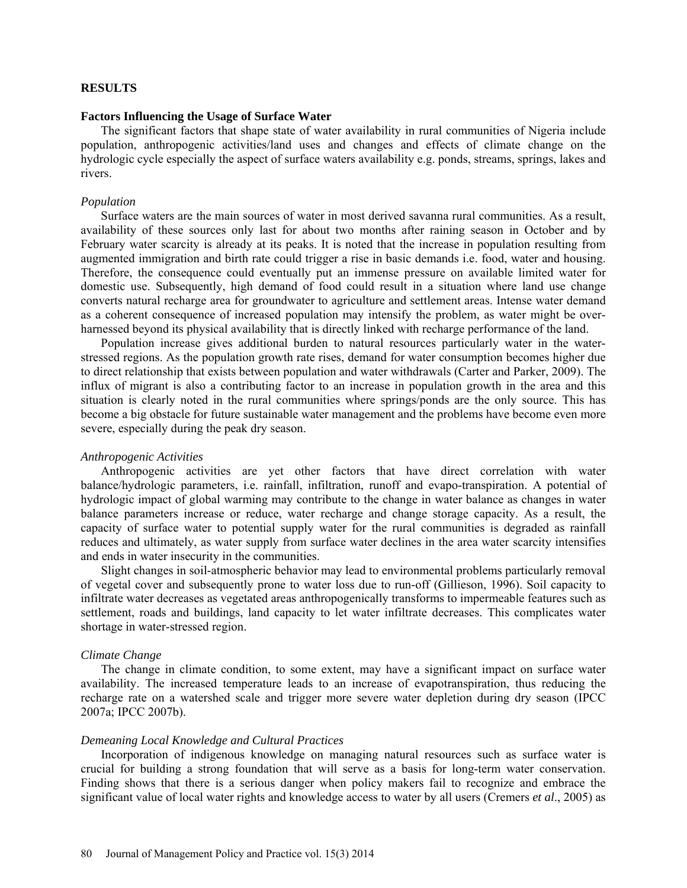#### **RESULTS**

#### **Factors Influencing the Usage of Surface Water**

The significant factors that shape state of water availability in rural communities of Nigeria include population, anthropogenic activities/land uses and changes and effects of climate change on the hydrologic cycle especially the aspect of surface waters availability e.g. ponds, streams, springs, lakes and rivers.

#### *Population*

Surface waters are the main sources of water in most derived savanna rural communities. As a result, availability of these sources only last for about two months after raining season in October and by February water scarcity is already at its peaks. It is noted that the increase in population resulting from augmented immigration and birth rate could trigger a rise in basic demands i.e. food, water and housing. Therefore, the consequence could eventually put an immense pressure on available limited water for domestic use. Subsequently, high demand of food could result in a situation where land use change converts natural recharge area for groundwater to agriculture and settlement areas. Intense water demand as a coherent consequence of increased population may intensify the problem, as water might be overharnessed beyond its physical availability that is directly linked with recharge performance of the land.

Population increase gives additional burden to natural resources particularly water in the waterstressed regions. As the population growth rate rises, demand for water consumption becomes higher due to direct relationship that exists between population and water withdrawals (Carter and Parker, 2009). The influx of migrant is also a contributing factor to an increase in population growth in the area and this situation is clearly noted in the rural communities where springs/ponds are the only source. This has become a big obstacle for future sustainable water management and the problems have become even more severe, especially during the peak dry season.

#### *Anthropogenic Activities*

Anthropogenic activities are yet other factors that have direct correlation with water balance/hydrologic parameters, i.e. rainfall, infiltration, runoff and evapo-transpiration. A potential of hydrologic impact of global warming may contribute to the change in water balance as changes in water balance parameters increase or reduce, water recharge and change storage capacity. As a result, the capacity of surface water to potential supply water for the rural communities is degraded as rainfall reduces and ultimately, as water supply from surface water declines in the area water scarcity intensifies and ends in water insecurity in the communities.

Slight changes in soil-atmospheric behavior may lead to environmental problems particularly removal of vegetal cover and subsequently prone to water loss due to run-off (Gillieson, 1996). Soil capacity to infiltrate water decreases as vegetated areas anthropogenically transforms to impermeable features such as settlement, roads and buildings, land capacity to let water infiltrate decreases. This complicates water shortage in water-stressed region.

#### *Climate Change*

The change in climate condition, to some extent, may have a significant impact on surface water availability. The increased temperature leads to an increase of evapotranspiration, thus reducing the recharge rate on a watershed scale and trigger more severe water depletion during dry season (IPCC 2007a; IPCC 2007b).

#### *Demeaning Local Knowledge and Cultural Practices*

Incorporation of indigenous knowledge on managing natural resources such as surface water is crucial for building a strong foundation that will serve as a basis for long-term water conservation. Finding shows that there is a serious danger when policy makers fail to recognize and embrace the significant value of local water rights and knowledge access to water by all users (Cremers *et al*., 2005) as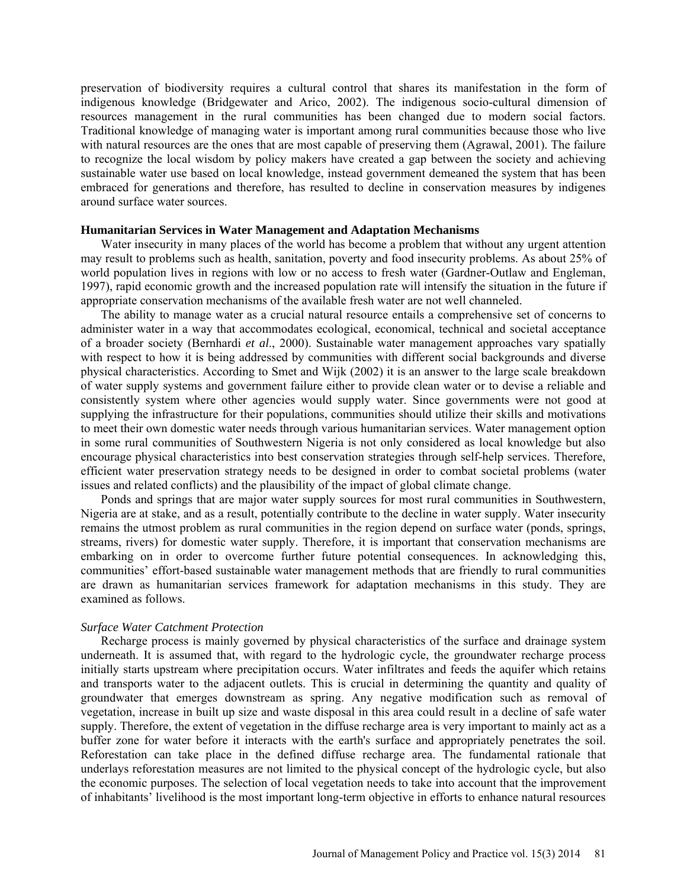preservation of biodiversity requires a cultural control that shares its manifestation in the form of indigenous knowledge (Bridgewater and Arico, 2002). The indigenous socio-cultural dimension of resources management in the rural communities has been changed due to modern social factors. Traditional knowledge of managing water is important among rural communities because those who live with natural resources are the ones that are most capable of preserving them (Agrawal, 2001). The failure to recognize the local wisdom by policy makers have created a gap between the society and achieving sustainable water use based on local knowledge, instead government demeaned the system that has been embraced for generations and therefore, has resulted to decline in conservation measures by indigenes around surface water sources.

#### **Humanitarian Services in Water Management and Adaptation Mechanisms**

Water insecurity in many places of the world has become a problem that without any urgent attention may result to problems such as health, sanitation, poverty and food insecurity problems. As about 25% of world population lives in regions with low or no access to fresh water (Gardner-Outlaw and Engleman, 1997), rapid economic growth and the increased population rate will intensify the situation in the future if appropriate conservation mechanisms of the available fresh water are not well channeled.

The ability to manage water as a crucial natural resource entails a comprehensive set of concerns to administer water in a way that accommodates ecological, economical, technical and societal acceptance of a broader society (Bernhardi *et al*., 2000). Sustainable water management approaches vary spatially with respect to how it is being addressed by communities with different social backgrounds and diverse physical characteristics. According to Smet and Wijk (2002) it is an answer to the large scale breakdown of water supply systems and government failure either to provide clean water or to devise a reliable and consistently system where other agencies would supply water. Since governments were not good at supplying the infrastructure for their populations, communities should utilize their skills and motivations to meet their own domestic water needs through various humanitarian services. Water management option in some rural communities of Southwestern Nigeria is not only considered as local knowledge but also encourage physical characteristics into best conservation strategies through self-help services. Therefore, efficient water preservation strategy needs to be designed in order to combat societal problems (water issues and related conflicts) and the plausibility of the impact of global climate change.

Ponds and springs that are major water supply sources for most rural communities in Southwestern, Nigeria are at stake, and as a result, potentially contribute to the decline in water supply. Water insecurity remains the utmost problem as rural communities in the region depend on surface water (ponds, springs, streams, rivers) for domestic water supply. Therefore, it is important that conservation mechanisms are embarking on in order to overcome further future potential consequences. In acknowledging this, communities' effort-based sustainable water management methods that are friendly to rural communities are drawn as humanitarian services framework for adaptation mechanisms in this study. They are examined as follows.

## *Surface Water Catchment Protection*

Recharge process is mainly governed by physical characteristics of the surface and drainage system underneath. It is assumed that, with regard to the hydrologic cycle, the groundwater recharge process initially starts upstream where precipitation occurs. Water infiltrates and feeds the aquifer which retains and transports water to the adjacent outlets. This is crucial in determining the quantity and quality of groundwater that emerges downstream as spring. Any negative modification such as removal of vegetation, increase in built up size and waste disposal in this area could result in a decline of safe water supply. Therefore, the extent of vegetation in the diffuse recharge area is very important to mainly act as a buffer zone for water before it interacts with the earth's surface and appropriately penetrates the soil. Reforestation can take place in the defined diffuse recharge area. The fundamental rationale that underlays reforestation measures are not limited to the physical concept of the hydrologic cycle, but also the economic purposes. The selection of local vegetation needs to take into account that the improvement of inhabitants' livelihood is the most important long-term objective in efforts to enhance natural resources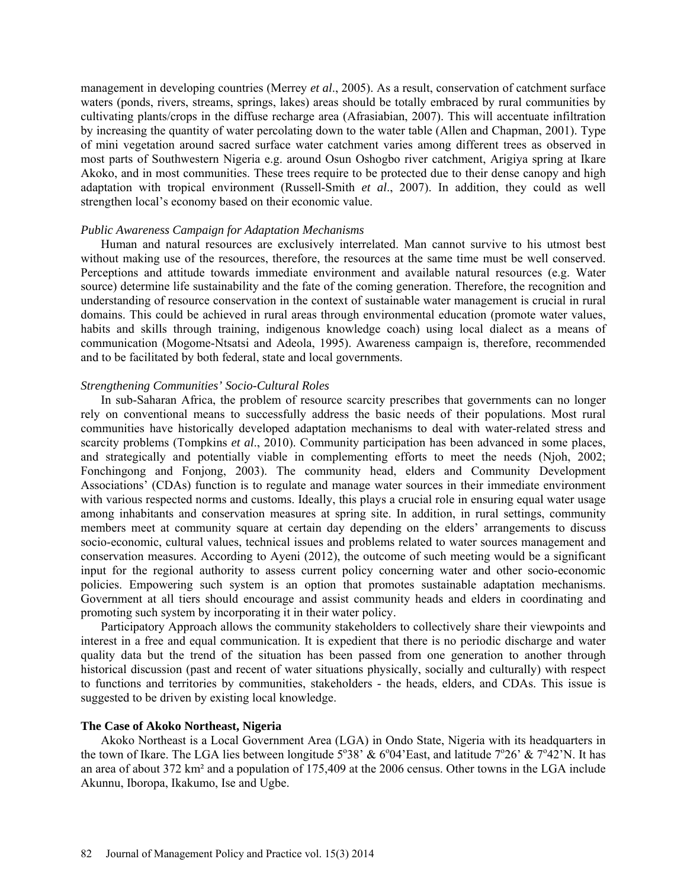management in developing countries (Merrey *et al*., 2005). As a result, conservation of catchment surface waters (ponds, rivers, streams, springs, lakes) areas should be totally embraced by rural communities by cultivating plants/crops in the diffuse recharge area (Afrasiabian, 2007). This will accentuate infiltration by increasing the quantity of water percolating down to the water table (Allen and Chapman, 2001). Type of mini vegetation around sacred surface water catchment varies among different trees as observed in most parts of Southwestern Nigeria e.g. around Osun Oshogbo river catchment, Arigiya spring at Ikare Akoko, and in most communities. These trees require to be protected due to their dense canopy and high adaptation with tropical environment (Russell-Smith *et al*., 2007). In addition, they could as well strengthen local's economy based on their economic value.

#### *Public Awareness Campaign for Adaptation Mechanisms*

Human and natural resources are exclusively interrelated. Man cannot survive to his utmost best without making use of the resources, therefore, the resources at the same time must be well conserved. Perceptions and attitude towards immediate environment and available natural resources (e.g. Water source) determine life sustainability and the fate of the coming generation. Therefore, the recognition and understanding of resource conservation in the context of sustainable water management is crucial in rural domains. This could be achieved in rural areas through environmental education (promote water values, habits and skills through training, indigenous knowledge coach) using local dialect as a means of communication (Mogome-Ntsatsi and Adeola, 1995). Awareness campaign is, therefore, recommended and to be facilitated by both federal, state and local governments.

## *Strengthening Communities' Socio-Cultural Roles*

In sub-Saharan Africa, the problem of resource scarcity prescribes that governments can no longer rely on conventional means to successfully address the basic needs of their populations. Most rural communities have historically developed adaptation mechanisms to deal with water-related stress and scarcity problems (Tompkins *et al*., 2010). Community participation has been advanced in some places, and strategically and potentially viable in complementing efforts to meet the needs (Njoh, 2002; Fonchingong and Fonjong, 2003). The community head, elders and Community Development Associations' (CDAs) function is to regulate and manage water sources in their immediate environment with various respected norms and customs. Ideally, this plays a crucial role in ensuring equal water usage among inhabitants and conservation measures at spring site. In addition, in rural settings, community members meet at community square at certain day depending on the elders' arrangements to discuss socio-economic, cultural values, technical issues and problems related to water sources management and conservation measures. According to Ayeni (2012), the outcome of such meeting would be a significant input for the regional authority to assess current policy concerning water and other socio-economic policies. Empowering such system is an option that promotes sustainable adaptation mechanisms. Government at all tiers should encourage and assist community heads and elders in coordinating and promoting such system by incorporating it in their water policy.

Participatory Approach allows the community stakeholders to collectively share their viewpoints and interest in a free and equal communication. It is expedient that there is no periodic discharge and water quality data but the trend of the situation has been passed from one generation to another through historical discussion (past and recent of water situations physically, socially and culturally) with respect to functions and territories by communities, stakeholders - the heads, elders, and CDAs. This issue is suggested to be driven by existing local knowledge.

#### **The Case of Akoko Northeast, Nigeria**

Akoko Northeast is a Local Government Area (LGA) in Ondo State, Nigeria with its headquarters in the town of Ikare. The LGA lies between longitude  $5^{\circ}38'$  &  $6^{\circ}04'$  East, and latitude  $7^{\circ}26'$  &  $7^{\circ}42'$  N. It has an area of about 372 km² and a population of 175,409 at the 2006 census. Other towns in the LGA include Akunnu, Iboropa, Ikakumo, Ise and Ugbe.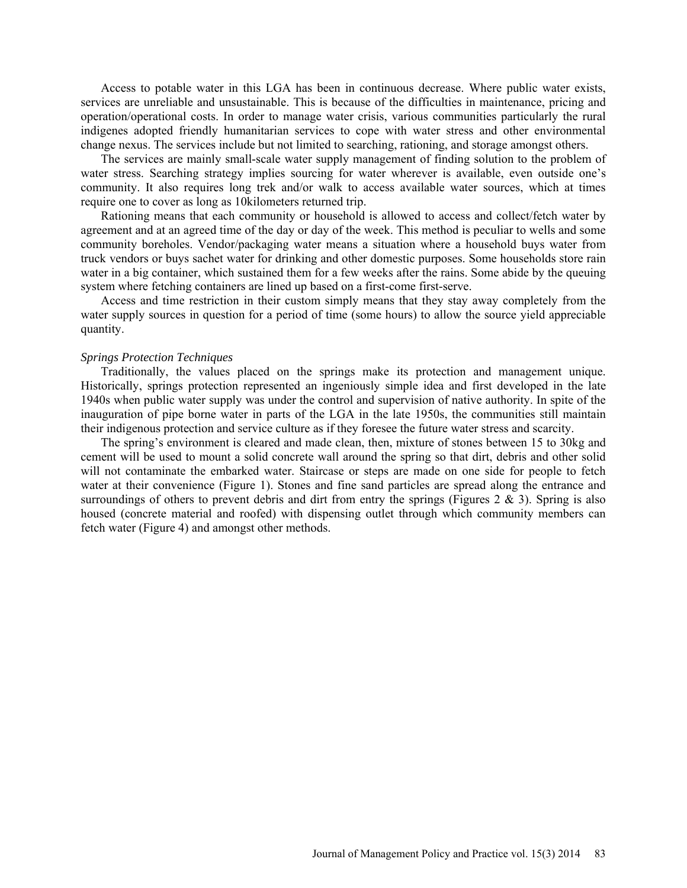Access to potable water in this LGA has been in continuous decrease. Where public water exists, services are unreliable and unsustainable. This is because of the difficulties in maintenance, pricing and operation/operational costs. In order to manage water crisis, various communities particularly the rural indigenes adopted friendly humanitarian services to cope with water stress and other environmental change nexus. The services include but not limited to searching, rationing, and storage amongst others.

The services are mainly small-scale water supply management of finding solution to the problem of water stress. Searching strategy implies sourcing for water wherever is available, even outside one's community. It also requires long trek and/or walk to access available water sources, which at times require one to cover as long as 10kilometers returned trip.

Rationing means that each community or household is allowed to access and collect/fetch water by agreement and at an agreed time of the day or day of the week. This method is peculiar to wells and some community boreholes. Vendor/packaging water means a situation where a household buys water from truck vendors or buys sachet water for drinking and other domestic purposes. Some households store rain water in a big container, which sustained them for a few weeks after the rains. Some abide by the queuing system where fetching containers are lined up based on a first-come first-serve.

Access and time restriction in their custom simply means that they stay away completely from the water supply sources in question for a period of time (some hours) to allow the source yield appreciable quantity.

#### *Springs Protection Techniques*

Traditionally, the values placed on the springs make its protection and management unique. Historically, springs protection represented an ingeniously simple idea and first developed in the late 1940s when public water supply was under the control and supervision of native authority. In spite of the inauguration of pipe borne water in parts of the LGA in the late 1950s, the communities still maintain their indigenous protection and service culture as if they foresee the future water stress and scarcity.

The spring's environment is cleared and made clean, then, mixture of stones between 15 to 30kg and cement will be used to mount a solid concrete wall around the spring so that dirt, debris and other solid will not contaminate the embarked water. Staircase or steps are made on one side for people to fetch water at their convenience (Figure 1). Stones and fine sand particles are spread along the entrance and surroundings of others to prevent debris and dirt from entry the springs (Figures 2  $\&$  3). Spring is also housed (concrete material and roofed) with dispensing outlet through which community members can fetch water (Figure 4) and amongst other methods.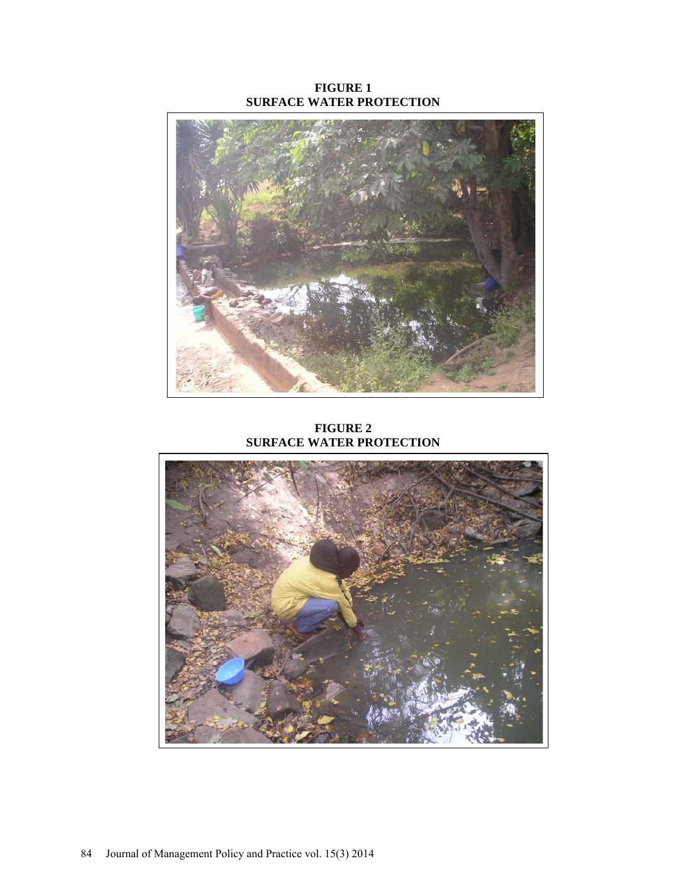**FIGURE 1 SURFACE WATER PROTECTION**



**FIGURE 2 SURFACE WATER PROTECTION**

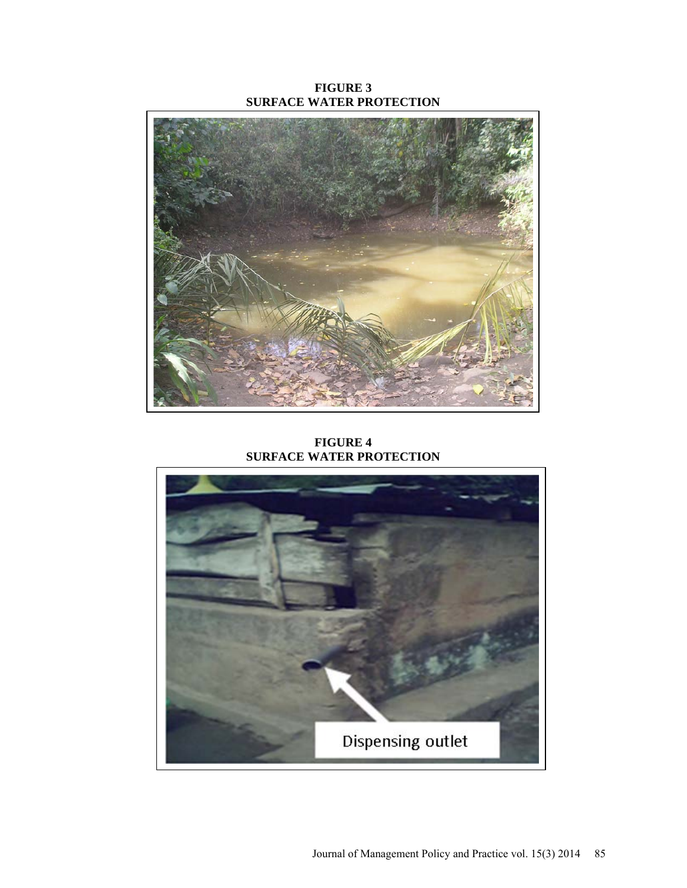**FIGURE 3 SURFACE WATER PROTECTION**



**FIGURE 4 SURFACE WATER PROTECTION**

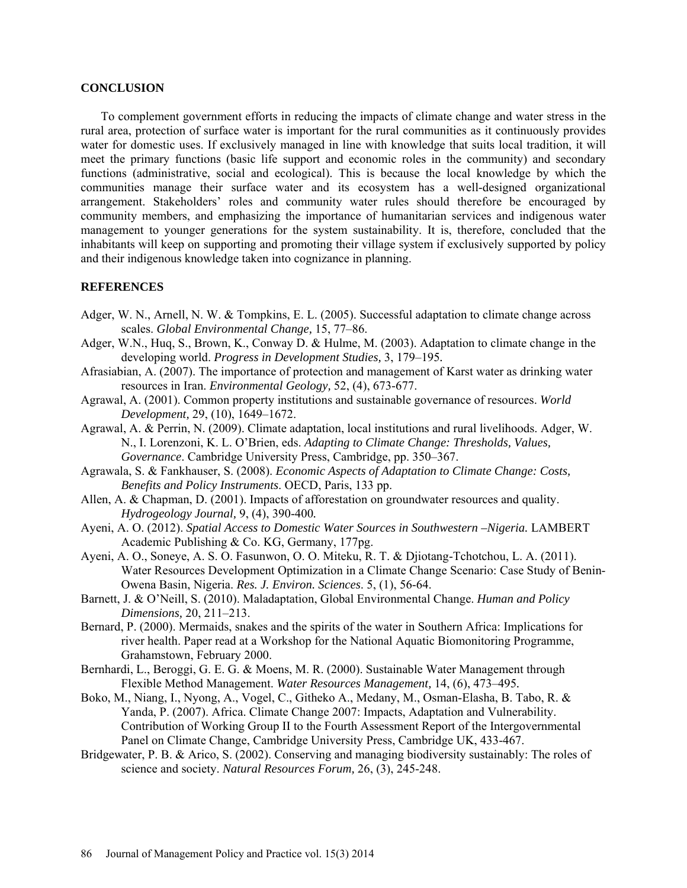### **CONCLUSION**

To complement government efforts in reducing the impacts of climate change and water stress in the rural area, protection of surface water is important for the rural communities as it continuously provides water for domestic uses. If exclusively managed in line with knowledge that suits local tradition, it will meet the primary functions (basic life support and economic roles in the community) and secondary functions (administrative, social and ecological). This is because the local knowledge by which the communities manage their surface water and its ecosystem has a well-designed organizational arrangement. Stakeholders' roles and community water rules should therefore be encouraged by community members, and emphasizing the importance of humanitarian services and indigenous water management to younger generations for the system sustainability. It is, therefore, concluded that the inhabitants will keep on supporting and promoting their village system if exclusively supported by policy and their indigenous knowledge taken into cognizance in planning.

## **REFERENCES**

- Adger, W. N., Arnell, N. W. & Tompkins, E. L. (2005). Successful adaptation to climate change across scales. *Global Environmental Change,* 15, 77–86.
- Adger, W.N., Huq, S., Brown, K., Conway D. & Hulme, M. (2003). Adaptation to climate change in the developing world. *Progress in Development Studies,* 3, 179–195*.*
- Afrasiabian, A. (2007). The importance of protection and management of Karst water as drinking water resources in Iran. *Environmental Geology,* 52, (4), 673-677.
- Agrawal, A. (2001). Common property institutions and sustainable governance of resources. *World Development,* 29, (10), 1649–1672.
- Agrawal, A. & Perrin, N. (2009). Climate adaptation, local institutions and rural livelihoods. Adger, W. N., I. Lorenzoni, K. L. O'Brien, eds. *Adapting to Climate Change: Thresholds, Values, Governance*. Cambridge University Press, Cambridge, pp. 350–367.
- Agrawala, S. & Fankhauser, S. (2008). *Economic Aspects of Adaptation to Climate Change: Costs, Benefits and Policy Instruments*. OECD, Paris, 133 pp.
- Allen, A. & Chapman, D. (2001). Impacts of afforestation on groundwater resources and quality. *Hydrogeology Journal,* 9, (4), 390-400*.*
- Ayeni, A. O. (2012). *Spatial Access to Domestic Water Sources in Southwestern –Nigeria.* LAMBERT Academic Publishing & Co. KG, Germany, 177pg.
- Ayeni, A. O., Soneye, A. S. O. Fasunwon, O. O. Miteku, R. T. & Djiotang-Tchotchou, L. A. (2011). Water Resources Development Optimization in a Climate Change Scenario: Case Study of Benin-Owena Basin, Nigeria. *Res. J. Environ. Sciences*. 5, (1), 56-64.
- Barnett, J. & O'Neill, S. (2010). Maladaptation, Global Environmental Change. *Human and Policy Dimensions,* 20, 211–213.
- Bernard, P. (2000). Mermaids, snakes and the spirits of the water in Southern Africa: Implications for river health. Paper read at a Workshop for the National Aquatic Biomonitoring Programme, Grahamstown, February 2000.
- Bernhardi, L., Beroggi, G. E. G. & Moens, M. R. (2000). Sustainable Water Management through Flexible Method Management. *Water Resources Management,* 14, (6), 473–495*.*
- Boko, M., Niang, I., Nyong, A., Vogel, C., Githeko A., Medany, M., Osman-Elasha, B. Tabo, R. & Yanda, P. (2007). Africa. Climate Change 2007: Impacts, Adaptation and Vulnerability. Contribution of Working Group II to the Fourth Assessment Report of the Intergovernmental Panel on Climate Change, Cambridge University Press, Cambridge UK, 433-467.
- Bridgewater, P. B. & Arico, S. (2002). Conserving and managing biodiversity sustainably: The roles of science and society. *Natural Resources Forum,* 26, (3), 245-248.